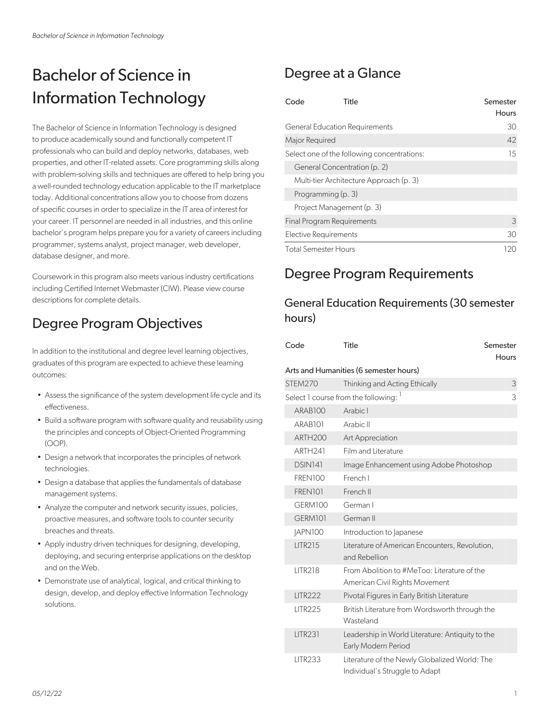# Bachelor of Science in Information Technology

The Bachelor of Science in Information Technology is designed to produce academically sound and functionally competent IT professionals who can build and deploy networks, databases, web properties, and other IT-related assets. Core programming skills along with problem-solving skills and techniques are offered to help bring you a well-rounded technology education applicable to the IT marketplace today. Additional concentrations allow you to choose from dozens of specific courses in order to specialize in the IT area of interest for your career. IT personnel are needed in all industries, and this online bachelor's program helps prepare you for a variety of careers including programmer, systems analyst, project manager, web developer, database designer, and more.

Coursework in this program also meets various industry certifications including Certified Internet Webmaster (CIW). Please view course descriptions for complete details.

## Degree Program Objectives

In addition to the institutional and degree level learning objectives, graduates of this program are expected to achieve these learning outcomes:

- Assess the significance of the system development life cycle and its effectiveness.
- Build a software program with software quality and reusability using the principles and concepts of Object-Oriented Programming (OOP).
- Design a network that incorporates the principles of network technologies.
- Design a database that applies the fundamentals of database management systems.
- Analyze the computer and network security issues, policies, proactive measures, and software tools to counter security breaches and threats.
- Apply industry driven techniques for designing, developing, deploying, and securing enterprise applications on the desktop and on the Web.
- Demonstrate use of analytical, logical, and critical thinking to design, develop, and deploy effective Information Technology solutions.

## Degree at a Glance

| Code           | Title                                       | Semester     |
|----------------|---------------------------------------------|--------------|
|                |                                             | <b>Hours</b> |
|                | <b>General Education Requirements</b>       | 30           |
| Major Required |                                             | 42           |
|                | Select one of the following concentrations: | 1.5          |
|                | General Concentration (p. 2)                |              |
|                | Multi-tier Architecture Approach (p. 3)     |              |
|                | Programming (p. 3)                          |              |
|                | Project Management (p. 3)                   |              |
|                | Final Program Requirements                  | 3            |
|                | Elective Requirements                       | 30           |
|                | <b>Total Semester Hours</b>                 | 120          |

## Degree Program Requirements

### General Education Requirements (30 semester hours)

| Code                | Title                                                                           | Semester     |
|---------------------|---------------------------------------------------------------------------------|--------------|
|                     |                                                                                 | <b>Hours</b> |
|                     | Arts and Humanities (6 semester hours)                                          |              |
| STEM270             | Thinking and Acting Ethically                                                   | 3            |
|                     | Select 1 course from the following: 1                                           | 3            |
| ARAB100             | Arabic I                                                                        |              |
| ARAB101             | Arabic II                                                                       |              |
| ARTH <sub>200</sub> | Art Appreciation                                                                |              |
| ARTH <sub>241</sub> | Film and Literature                                                             |              |
| DSIN141             | Image Enhancement using Adobe Photoshop                                         |              |
| <b>FREN100</b>      | French I                                                                        |              |
| FREN101             | French II                                                                       |              |
| GERM100             | German I                                                                        |              |
| GERM101             | German II                                                                       |              |
| JAPN100             | Introduction to Japanese                                                        |              |
| <b>LITR215</b>      | Literature of American Encounters, Revolution,<br>and Rebellion                 |              |
| <b>LITR218</b>      | From Abolition to #MeToo: Literature of the<br>American Civil Rights Movement   |              |
| <b>LITR222</b>      | Pivotal Figures in Early British Literature                                     |              |
| <b>LITR225</b>      | British Literature from Wordsworth through the<br>Wasteland                     |              |
| <b>LITR231</b>      | Leadership in World Literature: Antiquity to the<br>Early Modern Period         |              |
| <b>LITR233</b>      | Literature of the Newly Globalized World: The<br>Individual's Struggle to Adapt |              |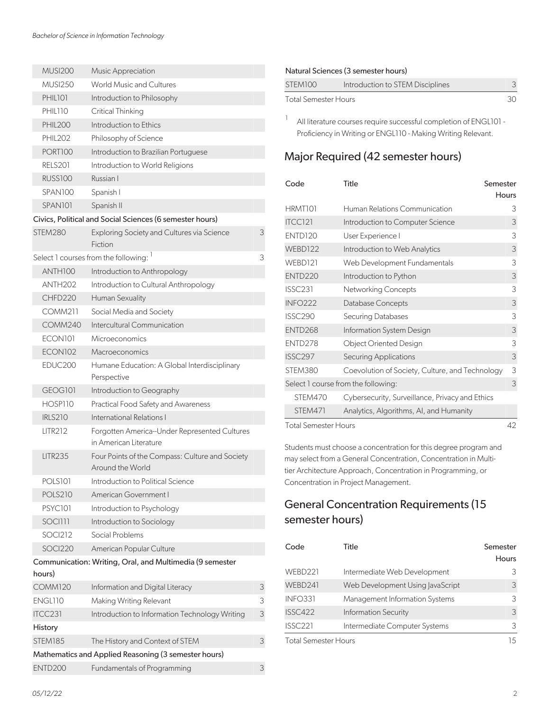| <b>MUSI200</b>      | Music Appreciation                                                     |   |
|---------------------|------------------------------------------------------------------------|---|
| <b>MUSI250</b>      | World Music and Cultures                                               |   |
| <b>PHIL101</b>      | Introduction to Philosophy                                             |   |
| PHIL110             | Critical Thinking                                                      |   |
| <b>PHIL200</b>      | Introduction to Ethics                                                 |   |
| <b>PHIL202</b>      | Philosophy of Science                                                  |   |
| PORT100             | Introduction to Brazilian Portuguese                                   |   |
| <b>RELS201</b>      | Introduction to World Religions                                        |   |
| <b>RUSS100</b>      | Russian I                                                              |   |
| SPAN100             | Spanish I                                                              |   |
| SPAN <sub>101</sub> | Spanish II                                                             |   |
|                     | Civics, Political and Social Sciences (6 semester hours)               |   |
| STEM280             | Exploring Society and Cultures via Science<br>Fiction                  | 3 |
|                     | Select 1 courses from the following:                                   | 3 |
| ANTH100             | Introduction to Anthropology                                           |   |
| <b>ANTH202</b>      | Introduction to Cultural Anthropology                                  |   |
| CHFD220             | Human Sexuality                                                        |   |
| <b>COMM211</b>      | Social Media and Society                                               |   |
| <b>COMM240</b>      | Intercultural Communication                                            |   |
| ECON101             | Microeconomics                                                         |   |
| <b>ECON102</b>      | Macroeconomics                                                         |   |
| EDUC200             | Humane Education: A Global Interdisciplinary                           |   |
|                     | Perspective                                                            |   |
| GEOGI01             | Introduction to Geography                                              |   |
| HOSP110             | Practical Food Safety and Awareness                                    |   |
| <b>IRLS210</b>      | International Relations I                                              |   |
| <b>LITR212</b>      | Forgotten America-Under Represented Cultures<br>in American Literature |   |
| <b>LITR235</b>      | Four Points of the Compass: Culture and Society<br>Around the World    |   |
| <b>POLS101</b>      | Introduction to Political Science                                      |   |
| <b>POLS210</b>      | American Government I                                                  |   |
| <b>PSYC101</b>      | Introduction to Psychology                                             |   |
| SOCI111             | Introduction to Sociology                                              |   |
| <b>SOCI212</b>      | Social Problems                                                        |   |
| SOCI220             | American Popular Culture                                               |   |
|                     | Communication: Writing, Oral, and Multimedia (9 semester               |   |
| hours)              |                                                                        |   |
| <b>COMM120</b>      | Information and Digital Literacy                                       | 3 |
| ENGL110             | Making Writing Relevant                                                | 3 |
| ITCC231             | Introduction to Information Technology Writing                         | 3 |
| History             |                                                                        |   |
| <b>STEM185</b>      | The History and Context of STEM                                        | 3 |
|                     | Mathematics and Applied Reasoning (3 semester hours)                   |   |
| ENTD <sub>200</sub> | Fundamentals of Programming                                            | 3 |

#### Natural Sciences (3 semester hours)

1

| STEM100              | Introduction to STEM Disciplines |    |
|----------------------|----------------------------------|----|
| Total Semester Hours |                                  | 30 |

All literature courses require successful completion of ENGL101 - Proficiency in Writing or ENGL110 - Making Writing Relevant.

### Major Required (42 semester hours)

| Code                 | Title<br>Semester                               |       |
|----------------------|-------------------------------------------------|-------|
|                      |                                                 | Hours |
| HRMT101              | Human Relations Communication                   | 3     |
| <b>ITCC121</b>       | Introduction to Computer Science                | 3     |
| <b>ENTD120</b>       | User Experience I                               | 3     |
| WEBD122              | Introduction to Web Analytics                   | 3     |
| WEBD121              | Web Development Fundamentals                    | 3     |
| ENTD <sub>220</sub>  | Introduction to Python                          | 3     |
| <b>ISSC231</b>       | Networking Concepts                             | 3     |
| <b>INFO222</b>       | Database Concepts                               | 3     |
| <b>ISSC290</b>       | Securing Databases                              | 3     |
| ENTD268              | Information System Design                       | 3     |
| ENTD278              | Object Oriented Design                          | 3     |
| <b>ISSC297</b>       | Securing Applications                           | 3     |
| STEM380              | Coevolution of Society, Culture, and Technology | 3     |
|                      | Select 1 course from the following:             | 3     |
| STEM470              | Cybersecurity, Surveillance, Privacy and Ethics |       |
| STEM471              | Analytics, Algorithms, Al, and Humanity         |       |
| Total Semester Hours |                                                 | 42    |

Students must choose a concentration for this degree program and may select from a General Concentration, Concentration in Multitier Architecture Approach, Concentration in Programming, or Concentration in Project Management.

### General Concentration Requirements (15 semester hours)

| Code                 | Title                            | Semester<br>Hours |
|----------------------|----------------------------------|-------------------|
| WEBD221              | Intermediate Web Development     | 3                 |
| WEBD241              | Web Development Using JavaScript | 3                 |
| <b>INFO331</b>       | Management Information Systems   | 3                 |
| <b>ISSC422</b>       | <b>Information Security</b>      | 3                 |
| <b>ISSC221</b>       | Intermediate Computer Systems    | 3                 |
| Total Semester Hours |                                  | 15                |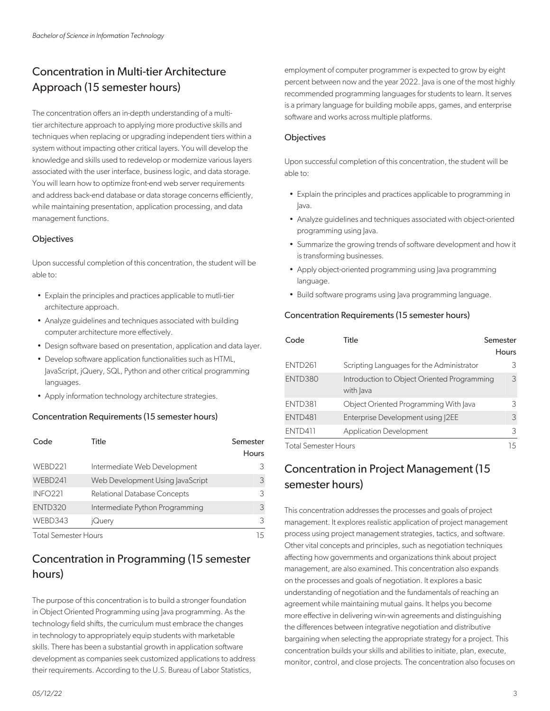### Concentration in Multi-tier Architecture Approach (15 semester hours)

The concentration offers an in-depth understanding of a multitier architecture approach to applying more productive skills and techniques when replacing or upgrading independent tiers within a system without impacting other critical layers. You will develop the knowledge and skills used to redevelop or modernize various layers associated with the user interface, business logic, and data storage. You will learn how to optimize front-end web server requirements and address back-end database or data storage concerns efficiently, while maintaining presentation, application processing, and data management functions.

#### **Objectives**

Upon successful completion of this concentration, the student will be able to:

- Explain the principles and practices applicable to mutli-tier architecture approach.
- Analyze guidelines and techniques associated with building computer architecture more effectively.
- Design software based on presentation, application and data layer.
- Develop software application functionalities such as HTML, JavaScript, jQuery, SQL, Python and other critical programming languages.
- Apply information technology architecture strategies.

#### Concentration Requirements (15 semester hours)

| Code                        | Title                            | Semester<br>Hours |
|-----------------------------|----------------------------------|-------------------|
| WEBD221                     | Intermediate Web Development     | 3                 |
| WEBD241                     | Web Development Using JavaScript | 3                 |
| <b>INFO221</b>              | Relational Database Concepts     | 3                 |
| ENTD320                     | Intermediate Python Programming  | 3                 |
| WEBD343                     | jQuery                           | 3                 |
| <b>Total Semester Hours</b> |                                  | 15                |

### Concentration in Programming (15 semester hours)

The purpose of this concentration is to build a stronger foundation in Object Oriented Programming using Java programming. As the technology field shifts, the curriculum must embrace the changes in technology to appropriately equip students with marketable skills. There has been a substantial growth in application software development as companies seek customized applications to address their requirements. According to the U.S. Bureau of Labor Statistics,

employment of computer programmer is expected to grow by eight percent between now and the year 2022. Java is one of the most highly recommended programming languages for students to learn. It serves is a primary language for building mobile apps, games, and enterprise software and works across multiple platforms.

#### **Objectives**

Upon successful completion of this concentration, the student will be able to:

- Explain the principles and practices applicable to programming in Java.
- Analyze guidelines and techniques associated with object-oriented programming using Java.
- Summarize the growing trends of software development and how it is transforming businesses.
- Apply object-oriented programming using lava programming language.
- Build software programs using Java programming language.

#### Concentration Requirements (15 semester hours)

| Code                        | Title                                                    | Semester<br><b>Hours</b> |
|-----------------------------|----------------------------------------------------------|--------------------------|
| ENTD <sub>261</sub>         | Scripting Languages for the Administrator                | 3                        |
| ENTD380                     | Introduction to Object Oriented Programming<br>with Java | 3                        |
| <b>ENTD381</b>              | Object Oriented Programming With Java                    | 3                        |
| ENTD481                     | Enterprise Development using 2EE                         | 3                        |
| <b>ENTD411</b>              | <b>Application Development</b>                           | 3                        |
| <b>Total Semester Hours</b> |                                                          | 15                       |

### Concentration in Project Management (15 semester hours)

This concentration addresses the processes and goals of project management. It explores realistic application of project management process using project management strategies, tactics, and software. Other vital concepts and principles, such as negotiation techniques affecting how governments and organizations think about project management, are also examined. This concentration also expands on the processes and goals of negotiation. It explores a basic understanding of negotiation and the fundamentals of reaching an agreement while maintaining mutual gains. It helps you become more effective in delivering win-win agreements and distinguishing the differences between integrative negotiation and distributive bargaining when selecting the appropriate strategy for a project. This concentration builds your skills and abilities to initiate, plan, execute, monitor, control, and close projects. The concentration also focuses on